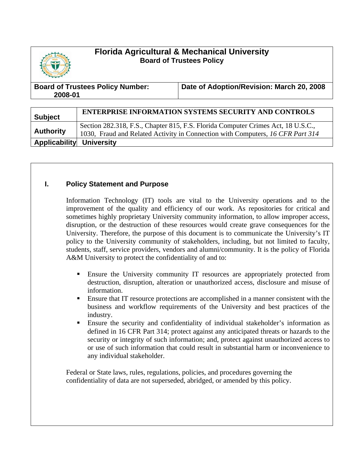# **Florida Agricultural & Mechanical University Board of Trustees Policy**



| <b>Board of Trustees Policy Number:</b> | Date of Adoption/Revision: March 20, 2008 |
|-----------------------------------------|-------------------------------------------|
| 2008-01                                 |                                           |

| <b>Subject</b>           | <b>ENTERPRISE INFORMATION SYSTEMS SECURITY AND CONTROLS</b>                                                                                                        |
|--------------------------|--------------------------------------------------------------------------------------------------------------------------------------------------------------------|
| <b>Authority</b>         | Section 282.318, F.S., Chapter 815, F.S. Florida Computer Crimes Act, 18 U.S.C.,<br>1030, Fraud and Related Activity in Connection with Computers, 16 CFR Part 314 |
| Applicability University |                                                                                                                                                                    |

## **I. Policy Statement and Purpose**

Information Technology (IT) tools are vital to the University operations and to the improvement of the quality and efficiency of our work. As repositories for critical and sometimes highly proprietary University community information, to allow improper access, disruption, or the destruction of these resources would create grave consequences for the University. Therefore, the purpose of this document is to communicate the University's IT policy to the University community of stakeholders, including, but not limited to faculty, students, staff, service providers, vendors and alumni/community. It is the policy of Florida A&M University to protect the confidentiality of and to:

- Ensure the University community IT resources are appropriately protected from destruction, disruption, alteration or unauthorized access, disclosure and misuse of information.
- Ensure that IT resource protections are accomplished in a manner consistent with the business and workflow requirements of the University and best practices of the industry.
- Ensure the security and confidentiality of individual stakeholder's information as defined in 16 CFR Part 314; protect against any anticipated threats or hazards to the security or integrity of such information; and, protect against unauthorized access to or use of such information that could result in substantial harm or inconvenience to any individual stakeholder.

Federal or State laws, rules, regulations, policies, and procedures governing the confidentiality of data are not superseded, abridged, or amended by this policy.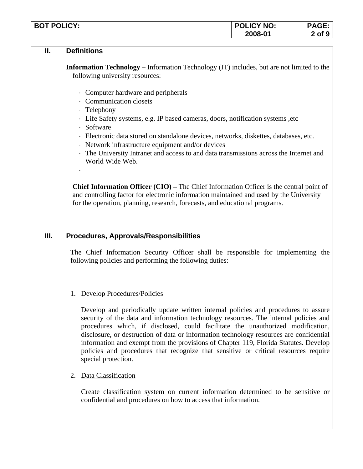| <b>BOT POLICY:</b> | <b>POLICY NO:</b> | DAGE<br>NJL. |
|--------------------|-------------------|--------------|
|                    | 2008-01           | of 9         |

#### **II. Definitions**

**Information Technology –** Information Technology (IT) includes, but are not limited to the following university resources:

- ⋅ Computer hardware and peripherals
- ⋅ Communication closets
- ⋅ Telephony
- ⋅ Life Safety systems, e.g. IP based cameras, doors, notification systems ,etc
- ⋅ Software

⋅

- ⋅ Electronic data stored on standalone devices, networks, diskettes, databases, etc.
- ⋅ Network infrastructure equipment and/or devices
- ⋅ The University Intranet and access to and data transmissions across the Internet and World Wide Web.

**Chief Information Officer (CIO) –** The Chief Information Officer is the central point of and controlling factor for electronic information maintained and used by the University for the operation, planning, research, forecasts, and educational programs.

## **III. Procedures, Approvals/Responsibilities**

The Chief Information Security Officer shall be responsible for implementing the following policies and performing the following duties:

## 1. Develop Procedures/Policies

Develop and periodically update written internal policies and procedures to assure security of the data and information technology resources. The internal policies and procedures which, if disclosed, could facilitate the unauthorized modification, disclosure, or destruction of data or information technology resources are confidential information and exempt from the provisions of Chapter 119, Florida Statutes. Develop policies and procedures that recognize that sensitive or critical resources require special protection.

## 2. Data Classification

Create classification system on current information determined to be sensitive or confidential and procedures on how to access that information.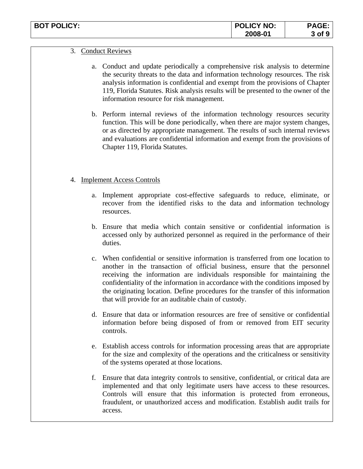| <b>BOT POLICY:</b> | <b>POLICY NO:</b> | <b>AGF</b> |
|--------------------|-------------------|------------|
|                    | 2008-01           | 3 of 9     |

#### 3. Conduct Reviews

- a. Conduct and update periodically a comprehensive risk analysis to determine the security threats to the data and information technology resources. The risk analysis information is confidential and exempt from the provisions of Chapter 119, Florida Statutes. Risk analysis results will be presented to the owner of the information resource for risk management.
- b. Perform internal reviews of the information technology resources security function. This will be done periodically, when there are major system changes, or as directed by appropriate management. The results of such internal reviews and evaluations are confidential information and exempt from the provisions of Chapter 119, Florida Statutes.

#### 4. Implement Access Controls

- a. Implement appropriate cost-effective safeguards to reduce, eliminate, or recover from the identified risks to the data and information technology resources.
- b. Ensure that media which contain sensitive or confidential information is accessed only by authorized personnel as required in the performance of their duties.
- c. When confidential or sensitive information is transferred from one location to another in the transaction of official business, ensure that the personnel receiving the information are individuals responsible for maintaining the confidentiality of the information in accordance with the conditions imposed by the originating location. Define procedures for the transfer of this information that will provide for an auditable chain of custody.
- d. Ensure that data or information resources are free of sensitive or confidential information before being disposed of from or removed from EIT security controls.
- e. Establish access controls for information processing areas that are appropriate for the size and complexity of the operations and the criticalness or sensitivity of the systems operated at those locations.
- f. Ensure that data integrity controls to sensitive, confidential, or critical data are implemented and that only legitimate users have access to these resources. Controls will ensure that this information is protected from erroneous, fraudulent, or unauthorized access and modification. Establish audit trails for access.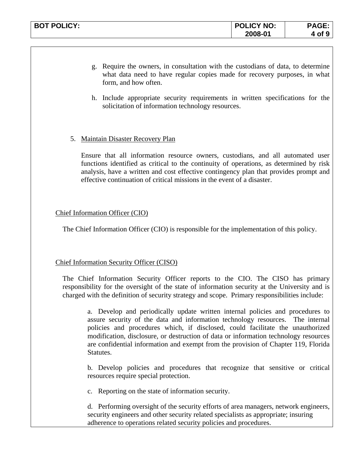| <b>BOT POLICY:</b> | <b>POLICY NO:</b> | <b>PAGE:</b> |
|--------------------|-------------------|--------------|
|                    | 2008-01           | of 9         |

- g. Require the owners, in consultation with the custodians of data, to determine what data need to have regular copies made for recovery purposes, in what form, and how often.
- h. Include appropriate security requirements in written specifications for the solicitation of information technology resources.

#### 5. Maintain Disaster Recovery Plan

Ensure that all information resource owners, custodians, and all automated user functions identified as critical to the continuity of operations, as determined by risk analysis, have a written and cost effective contingency plan that provides prompt and effective continuation of critical missions in the event of a disaster.

### Chief Information Officer (CIO)

The Chief Information Officer (CIO) is responsible for the implementation of this policy.

## **Chief Information Security Officer (CISO)**

The Chief Information Security Officer reports to the CIO. The CISO has primary responsibility for the oversight of the state of information security at the University and is charged with the definition of security strategy and scope. Primary responsibilities include:

a. Develop and periodically update written internal policies and procedures to assure security of the data and information technology resources. The internal policies and procedures which, if disclosed, could facilitate the unauthorized modification, disclosure, or destruction of data or information technology resources are confidential information and exempt from the provision of Chapter 119, Florida Statutes.

b. Develop policies and procedures that recognize that sensitive or critical resources require special protection.

c. Reporting on the state of information security.

d. Performing oversight of the security efforts of area managers, network engineers, security engineers and other security related specialists as appropriate; insuring adherence to operations related security policies and procedures.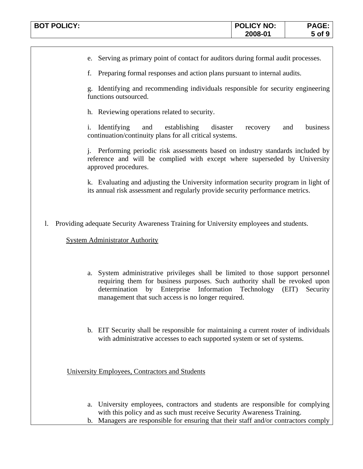| <b>BOT POLICY:</b> | <b>POLICY NO:</b> | AVL.    |
|--------------------|-------------------|---------|
|                    | 2008-01           | οf<br>J |

e. Serving as primary point of contact for auditors during formal audit processes.

f. Preparing formal responses and action plans pursuant to internal audits.

g. Identifying and recommending individuals responsible for security engineering functions outsourced.

h. Reviewing operations related to security.

i. Identifying and establishing disaster recovery and business continuation/continuity plans for all critical systems.

j. Performing periodic risk assessments based on industry standards included by reference and will be complied with except where superseded by University approved procedures.

k. Evaluating and adjusting the University information security program in light of its annual risk assessment and regularly provide security performance metrics.

l. Providing adequate Security Awareness Training for University employees and students.

System Administrator Authority

- a. System administrative privileges shall be limited to those support personnel requiring them for business purposes. Such authority shall be revoked upon determination by Enterprise Information Technology (EIT) Security management that such access is no longer required.
- b. EIT Security shall be responsible for maintaining a current roster of individuals with administrative accesses to each supported system or set of systems.

University Employees, Contractors and Students

- a. University employees, contractors and students are responsible for complying with this policy and as such must receive Security Awareness Training.
- b. Managers are responsible for ensuring that their staff and/or contractors comply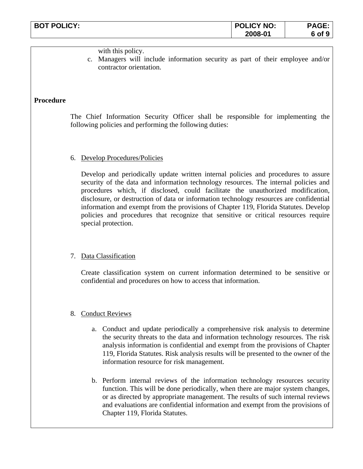| <b>BOT POLICY:</b> | <b>POLICY NO:</b> | <b>PAGE</b><br>AUL. |
|--------------------|-------------------|---------------------|
|                    | 2008-01           | 6 of<br>            |

with this policy.

c. Managers will include information security as part of their employee and/or contractor orientation.

#### **Procedure**

The Chief Information Security Officer shall be responsible for implementing the following policies and performing the following duties:

#### 6. Develop Procedures/Policies

Develop and periodically update written internal policies and procedures to assure security of the data and information technology resources. The internal policies and procedures which, if disclosed, could facilitate the unauthorized modification, disclosure, or destruction of data or information technology resources are confidential information and exempt from the provisions of Chapter 119, Florida Statutes. Develop policies and procedures that recognize that sensitive or critical resources require special protection.

#### 7. Data Classification

Create classification system on current information determined to be sensitive or confidential and procedures on how to access that information.

#### 8. Conduct Reviews

- a. Conduct and update periodically a comprehensive risk analysis to determine the security threats to the data and information technology resources. The risk analysis information is confidential and exempt from the provisions of Chapter 119, Florida Statutes. Risk analysis results will be presented to the owner of the information resource for risk management.
- b. Perform internal reviews of the information technology resources security function. This will be done periodically, when there are major system changes, or as directed by appropriate management. The results of such internal reviews and evaluations are confidential information and exempt from the provisions of Chapter 119, Florida Statutes.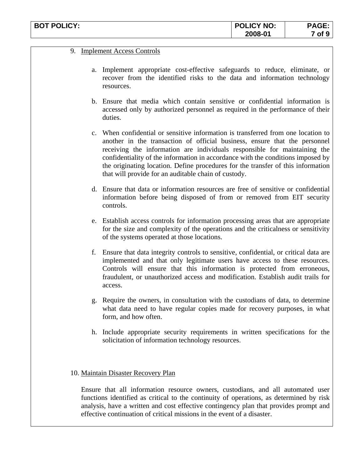| <b>BOT POLICY:</b> | <b>POLICY NO:</b> | PAGE.             |
|--------------------|-------------------|-------------------|
|                    | 2008-01           | of $\cdot$<br>. . |

#### 9. Implement Access Controls

- a. Implement appropriate cost-effective safeguards to reduce, eliminate, or recover from the identified risks to the data and information technology resources.
- b. Ensure that media which contain sensitive or confidential information is accessed only by authorized personnel as required in the performance of their duties.
- c. When confidential or sensitive information is transferred from one location to another in the transaction of official business, ensure that the personnel receiving the information are individuals responsible for maintaining the confidentiality of the information in accordance with the conditions imposed by the originating location. Define procedures for the transfer of this information that will provide for an auditable chain of custody.
- d. Ensure that data or information resources are free of sensitive or confidential information before being disposed of from or removed from EIT security controls.
- e. Establish access controls for information processing areas that are appropriate for the size and complexity of the operations and the criticalness or sensitivity of the systems operated at those locations.
- f. Ensure that data integrity controls to sensitive, confidential, or critical data are implemented and that only legitimate users have access to these resources. Controls will ensure that this information is protected from erroneous, fraudulent, or unauthorized access and modification. Establish audit trails for access.
- g. Require the owners, in consultation with the custodians of data, to determine what data need to have regular copies made for recovery purposes, in what form, and how often.
- h. Include appropriate security requirements in written specifications for the solicitation of information technology resources.

#### 10. Maintain Disaster Recovery Plan

Ensure that all information resource owners, custodians, and all automated user functions identified as critical to the continuity of operations, as determined by risk analysis, have a written and cost effective contingency plan that provides prompt and effective continuation of critical missions in the event of a disaster.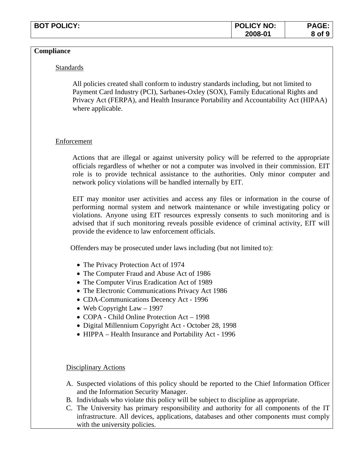| <b>BOT POLICY:</b><br>'' IGY. . | <b>POLICY NO:</b> |                  |
|---------------------------------|-------------------|------------------|
|                                 | 2008-01           | ∴of <sup>o</sup> |

#### **Compliance**

#### Standards

All policies created shall conform to industry standards including, but not limited to Payment Card Industry (PCI), Sarbanes-Oxley (SOX), Family Educational Rights and Privacy Act (FERPA), and Health Insurance Portability and Accountability Act (HIPAA) where applicable.

#### Enforcement

Actions that are illegal or against university policy will be referred to the appropriate officials regardless of whether or not a computer was involved in their commission. EIT role is to provide technical assistance to the authorities. Only minor computer and network policy violations will be handled internally by EIT.

EIT may monitor user activities and access any files or information in the course of performing normal system and network maintenance or while investigating policy or violations. Anyone using EIT resources expressly consents to such monitoring and is advised that if such monitoring reveals possible evidence of criminal activity, EIT will provide the evidence to law enforcement officials.

Offenders may be prosecuted under laws including (but not limited to):

- The Privacy Protection Act of 1974
- The Computer Fraud and Abuse Act of 1986
- The Computer Virus Eradication Act of 1989
- The Electronic Communications Privacy Act 1986
- CDA-Communications Decency Act 1996
- Web Copyright Law 1997
- COPA Child Online Protection Act 1998
- Digital Millennium Copyright Act October 28, 1998
- HIPPA Health Insurance and Portability Act 1996

#### Disciplinary Actions

- A. Suspected violations of this policy should be reported to the Chief Information Officer and the Information Security Manager.
- B. Individuals who violate this policy will be subject to discipline as appropriate.
- C. The University has primary responsibility and authority for all components of the IT infrastructure. All devices, applications, databases and other components must comply with the university policies.